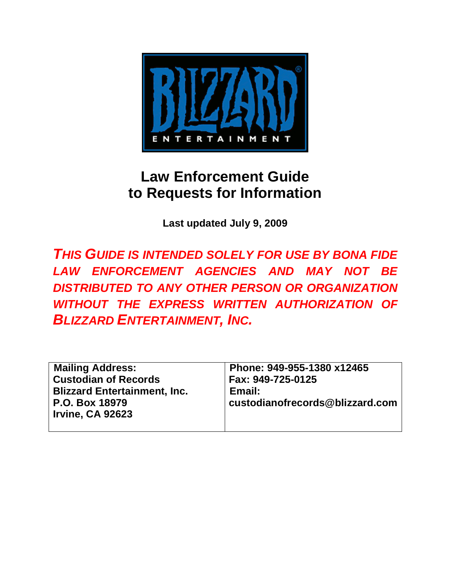

# **Law Enforcement Guide to Requests for Information**

**Last updated July 9, 2009** 

*THIS GUIDE IS INTENDED SOLELY FOR USE BY BONA FIDE LAW ENFORCEMENT AGENCIES AND MAY NOT BE DISTRIBUTED TO ANY OTHER PERSON OR ORGANIZATION WITHOUT THE EXPRESS WRITTEN AUTHORIZATION OF BLIZZARD ENTERTAINMENT, INC.* 

| <b>Mailing Address:</b>             | Phone: 949-955-1380 x12465      |
|-------------------------------------|---------------------------------|
| <b>Custodian of Records</b>         | Fax: 949-725-0125               |
| <b>Blizzard Entertainment, Inc.</b> | Email:                          |
| P.O. Box 18979                      | custodianofrecords@blizzard.com |
| <b>Irvine, CA 92623</b>             |                                 |
|                                     |                                 |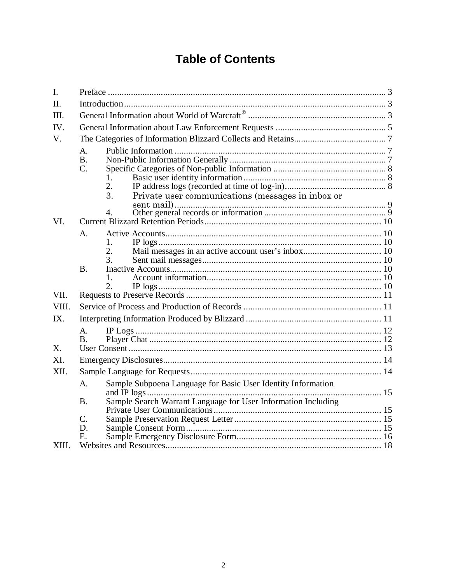# **Table of Contents**

| I.    |                          |                                                                                                                               |  |  |  |
|-------|--------------------------|-------------------------------------------------------------------------------------------------------------------------------|--|--|--|
| II.   |                          |                                                                                                                               |  |  |  |
| III.  |                          |                                                                                                                               |  |  |  |
| IV.   |                          |                                                                                                                               |  |  |  |
| V.    |                          |                                                                                                                               |  |  |  |
|       | A.<br><b>B.</b><br>C.    | 1.<br>2.<br>$\overline{3}$ .<br>Private user communications (messages in inbox or<br>$\overline{4}$ .                         |  |  |  |
| VI.   |                          |                                                                                                                               |  |  |  |
|       | A.                       | $\mathbf{1}$ .<br>$\overline{2}$ .<br>3.                                                                                      |  |  |  |
|       | <b>B.</b>                | $\overline{2}$ .                                                                                                              |  |  |  |
| VII.  |                          |                                                                                                                               |  |  |  |
| VIII. |                          |                                                                                                                               |  |  |  |
| IX.   |                          |                                                                                                                               |  |  |  |
| X.    | $A_{\cdot}$<br><b>B.</b> |                                                                                                                               |  |  |  |
| XI.   |                          |                                                                                                                               |  |  |  |
| XII.  |                          |                                                                                                                               |  |  |  |
| XIII. | A.<br><b>B.</b>          | Sample Subpoena Language for Basic User Identity Information<br>Sample Search Warrant Language for User Information Including |  |  |  |
|       | C.<br>D.<br>E.           |                                                                                                                               |  |  |  |
|       |                          |                                                                                                                               |  |  |  |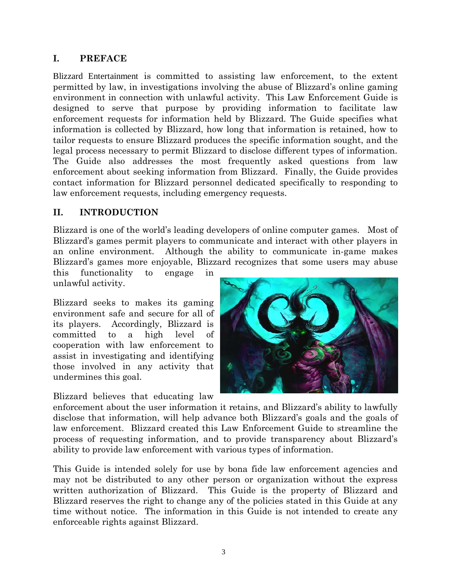#### <span id="page-2-0"></span>**I. PREFACE**

Blizzard Entertainment is committed to assisting law enforcement, to the extent permitted by law, in investigations involving the abuse of Blizzard's online gaming environment in connection with unlawful activity. This Law Enforcement Guide is designed to serve that purpose by providing information to facilitate law enforcement requests for information held by Blizzard. The Guide specifies what information is collected by Blizzard, how long that information is retained, how to tailor requests to ensure Blizzard produces the specific information sought, and the legal process necessary to permit Blizzard to disclose different types of information. The Guide also addresses the most frequently asked questions from law enforcement about seeking information from Blizzard. Finally, the Guide provides contact information for Blizzard personnel dedicated specifically to responding to law enforcement requests, including emergency requests.

#### **II. INTRODUCTION**

Blizzard is one of the world's leading developers of online computer games. Most of Blizzard's games permit players to communicate and interact with other players in an online environment. Although the ability to communicate in-game makes Blizzard's games more enjoyable, Blizzard recognizes that some users may abuse

this functionality to engage in unlawful activity.

Blizzard seeks to makes its gaming environment safe and secure for all of its players. Accordingly, Blizzard is committed to a high level of cooperation with law enforcement to assist in investigating and identifying those involved in any activity that undermines this goal.

Blizzard believes that educating law



enforcement about the user information it retains, and Blizzard's ability to lawfully disclose that information, will help advance both Blizzard's goals and the goals of law enforcement. Blizzard created this Law Enforcement Guide to streamline the process of requesting information, and to provide transparency about Blizzard's ability to provide law enforcement with various types of information.

This Guide is intended solely for use by bona fide law enforcement agencies and may not be distributed to any other person or organization without the express written authorization of Blizzard. This Guide is the property of Blizzard and Blizzard reserves the right to change any of the policies stated in this Guide at any time without notice. The information in this Guide is not intended to create any enforceable rights against Blizzard.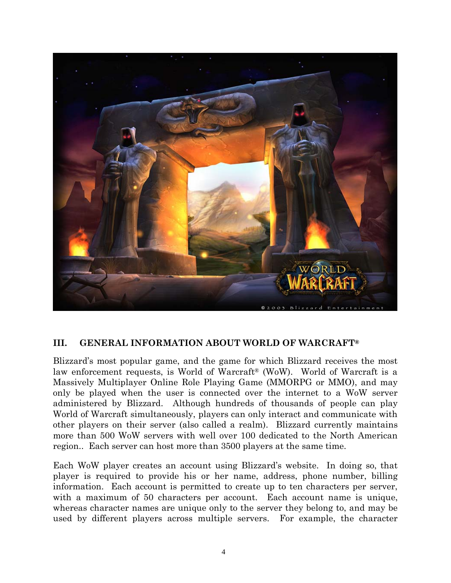<span id="page-3-0"></span>

#### **III. GENERAL INFORMATION ABOUT WORLD OF WARCRAFT®**

Blizzard's most popular game, and the game for which Blizzard receives the most law enforcement requests, is World of Warcraft<sup>®</sup> (WoW). World of Warcraft is a Massively Multiplayer Online Role Playing Game (MMORPG or MMO), and may only be played when the user is connected over the internet to a WoW server administered by Blizzard. Although hundreds of thousands of people can play World of Warcraft simultaneously, players can only interact and communicate with other players on their server (also called a realm). Blizzard currently maintains more than 500 WoW servers with well over 100 dedicated to the North American region.. Each server can host more than 3500 players at the same time.

Each WoW player creates an account using Blizzard's website. In doing so, that player is required to provide his or her name, address, phone number, billing information. Each account is permitted to create up to ten characters per server, with a maximum of 50 characters per account. Each account name is unique, whereas character names are unique only to the server they belong to, and may be used by different players across multiple servers. For example, the character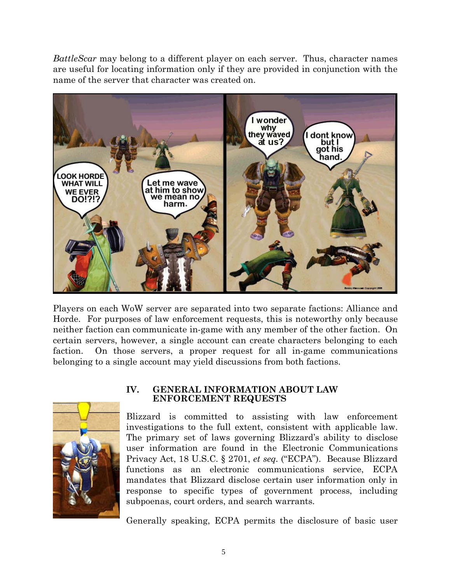<span id="page-4-0"></span>*BattleScar* may belong to a different player on each server. Thus, character names are useful for locating information only if they are provided in conjunction with the name of the server that character was created on.



Players on each WoW server are separated into two separate factions: Alliance and Horde. For purposes of law enforcement requests, this is noteworthy only because neither faction can communicate in-game with any member of the other faction. On certain servers, however, a single account can create characters belonging to each faction. On those servers, a proper request for all in-game communications belonging to a single account may yield discussions from both factions.



#### **IV. GENERAL INFORMATION ABOUT LAW ENFORCEMENT REQUESTS**

Blizzard is committed to assisting with law enforcement investigations to the full extent, consistent with applicable law. The primary set of laws governing Blizzard's ability to disclose user information are found in the Electronic Communications Privacy Act, 18 U.S.C. § 2701, *et seq.* ("ECPA"). Because Blizzard functions as an electronic communications service, ECPA mandates that Blizzard disclose certain user information only in response to specific types of government process, including subpoenas, court orders, and search warrants.

Generally speaking, ECPA permits the disclosure of basic user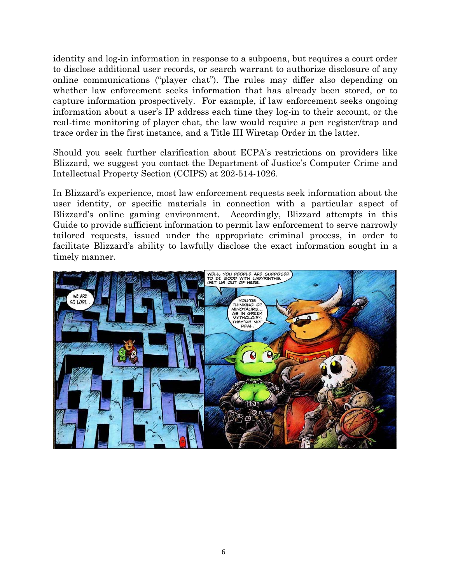identity and log-in information in response to a subpoena, but requires a court order to disclose additional user records, or search warrant to authorize disclosure of any online communications ("player chat"). The rules may differ also depending on whether law enforcement seeks information that has already been stored, or to capture information prospectively. For example, if law enforcement seeks ongoing information about a user's IP address each time they log-in to their account, or the real-time monitoring of player chat, the law would require a pen register/trap and trace order in the first instance, and a Title III Wiretap Order in the latter.

Should you seek further clarification about ECPA's restrictions on providers like Blizzard, we suggest you contact the Department of Justice's Computer Crime and Intellectual Property Section (CCIPS) at 202-514-1026.

In Blizzard's experience, most law enforcement requests seek information about the user identity, or specific materials in connection with a particular aspect of Blizzard's online gaming environment. Accordingly, Blizzard attempts in this Guide to provide sufficient information to permit law enforcement to serve narrowly tailored requests, issued under the appropriate criminal process, in order to facilitate Blizzard's ability to lawfully disclose the exact information sought in a timely manner.

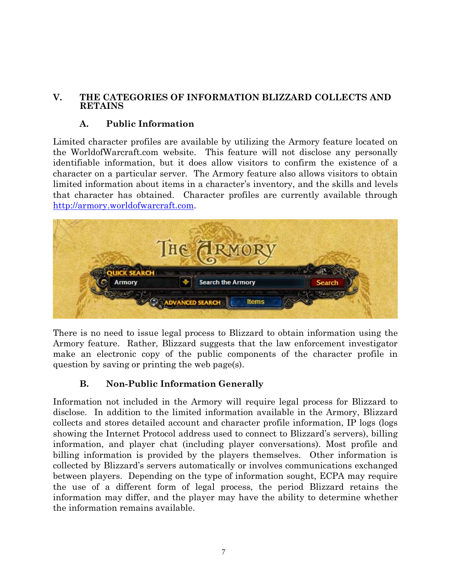#### <span id="page-6-0"></span>**V. THE CATEGORIES OF INFORMATION BLIZZARD COLLECTS AND RETAINS**

### **A. Public Information**

Limited character profiles are available by utilizing the Armory feature located on the WorldofWarcraft.com website. This feature will not disclose any personally identifiable information, but it does allow visitors to confirm the existence of a character on a particular server. The Armory feature also allows visitors to obtain limited information about items in a character's inventory, and the skills and levels that character has obtained. Character profiles are currently available through [http://armory.worldofwarcraft.com](http://armory.worldofwarcraft.com/).



There is no need to issue legal process to Blizzard to obtain information using the Armory feature. Rather, Blizzard suggests that the law enforcement investigator make an electronic copy of the public components of the character profile in question by saving or printing the web page(s).

# **B. Non-Public Information Generally**

Information not included in the Armory will require legal process for Blizzard to disclose. In addition to the limited information available in the Armory, Blizzard collects and stores detailed account and character profile information, IP logs (logs showing the Internet Protocol address used to connect to Blizzard's servers), billing information, and player chat (including player conversations). Most profile and billing information is provided by the players themselves. Other information is collected by Blizzard's servers automatically or involves communications exchanged between players. Depending on the type of information sought, ECPA may require the use of a different form of legal process, the period Blizzard retains the information may differ, and the player may have the ability to determine whether the information remains available.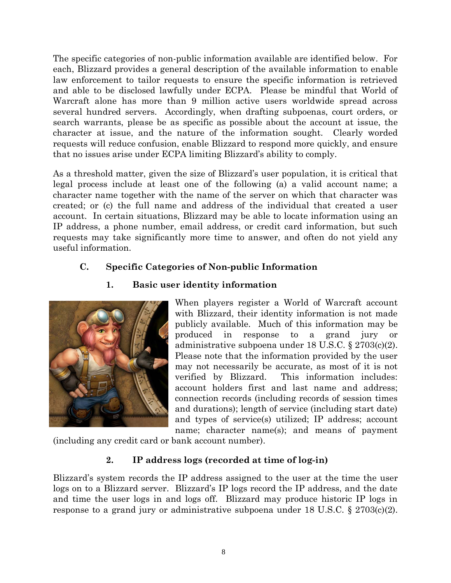<span id="page-7-0"></span>The specific categories of non-public information available are identified below. For each, Blizzard provides a general description of the available information to enable law enforcement to tailor requests to ensure the specific information is retrieved and able to be disclosed lawfully under ECPA. Please be mindful that World of Warcraft alone has more than 9 million active users worldwide spread across several hundred servers. Accordingly, when drafting subpoenas, court orders, or search warrants, please be as specific as possible about the account at issue, the character at issue, and the nature of the information sought. Clearly worded requests will reduce confusion, enable Blizzard to respond more quickly, and ensure that no issues arise under ECPA limiting Blizzard's ability to comply.

As a threshold matter, given the size of Blizzard's user population, it is critical that legal process include at least one of the following (a) a valid account name; a character name together with the name of the server on which that character was created; or (c) the full name and address of the individual that created a user account. In certain situations, Blizzard may be able to locate information using an IP address, a phone number, email address, or credit card information, but such requests may take significantly more time to answer, and often do not yield any useful information.

# **C. Specific Categories of Non-public Information**

# **1. Basic user identity information**



When players register a World of Warcraft account with Blizzard, their identity information is not made publicly available. Much of this information may be produced in response to a grand jury or administrative subpoena under 18 U.S.C. § 2703(c)(2). Please note that the information provided by the user may not necessarily be accurate, as most of it is not verified by Blizzard. This information includes: account holders first and last name and address; connection records (including records of session times and durations); length of service (including start date) and types of service(s) utilized; IP address; account name; character name(s); and means of payment

(including any credit card or bank account number).

# **2. IP address logs (recorded at time of log-in)**

Blizzard's system records the IP address assigned to the user at the time the user logs on to a Blizzard server. Blizzard's IP logs record the IP address, and the date and time the user logs in and logs off. Blizzard may produce historic IP logs in response to a grand jury or administrative subpoena under 18 U.S.C. § 2703(c)(2).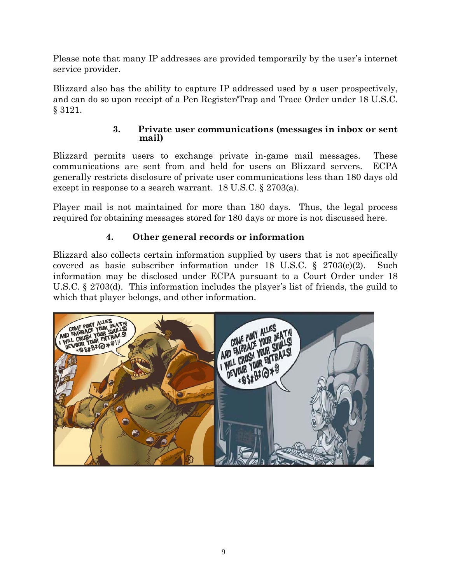<span id="page-8-0"></span>Please note that many IP addresses are provided temporarily by the user's internet service provider.

Blizzard also has the ability to capture IP addressed used by a user prospectively, and can do so upon receipt of a Pen Register/Trap and Trace Order under 18 U.S.C. § 3121.

#### **3. Private user communications (messages in inbox or sent mail)**

Blizzard permits users to exchange private in-game mail messages. These communications are sent from and held for users on Blizzard servers. ECPA generally restricts disclosure of private user communications less than 180 days old except in response to a search warrant. 18 U.S.C. § 2703(a).

Player mail is not maintained for more than 180 days. Thus, the legal process required for obtaining messages stored for 180 days or more is not discussed here.

# **4. Other general records or information**

Blizzard also collects certain information supplied by users that is not specifically covered as basic subscriber information under 18 U.S.C. § 2703(c)(2). Such information may be disclosed under ECPA pursuant to a Court Order under 18 U.S.C. § 2703(d). This information includes the player's list of friends, the guild to which that player belongs, and other information.

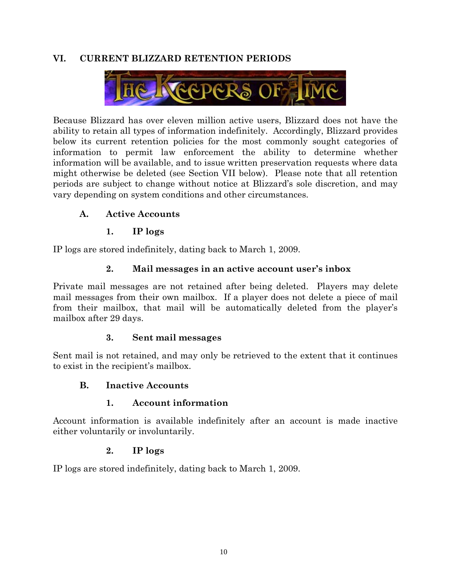## <span id="page-9-0"></span>**VI. CURRENT BLIZZARD RETENTION PERIODS**



Because Blizzard has over eleven million active users, Blizzard does not have the ability to retain all types of information indefinitely. Accordingly, Blizzard provides below its current retention policies for the most commonly sought categories of information to permit law enforcement the ability to determine whether information will be available, and to issue written preservation requests where data might otherwise be deleted (see Section [VII](#page-10-1) below). Please note that all retention periods are subject to change without notice at Blizzard's sole discretion, and may vary depending on system conditions and other circumstances.

## **A. Active Accounts**

## **1. IP logs**

IP logs are stored indefinitely, dating back to March 1, 2009.

## **2. Mail messages in an active account user's inbox**

Private mail messages are not retained after being deleted. Players may delete mail messages from their own mailbox. If a player does not delete a piece of mail from their mailbox, that mail will be automatically deleted from the player's mailbox after 29 days.

### **3. Sent mail messages**

Sent mail is not retained, and may only be retrieved to the extent that it continues to exist in the recipient's mailbox.

### **B. Inactive Accounts**

### **1. Account information**

Account information is available indefinitely after an account is made inactive either voluntarily or involuntarily.

### **2. IP logs**

IP logs are stored indefinitely, dating back to March 1, 2009.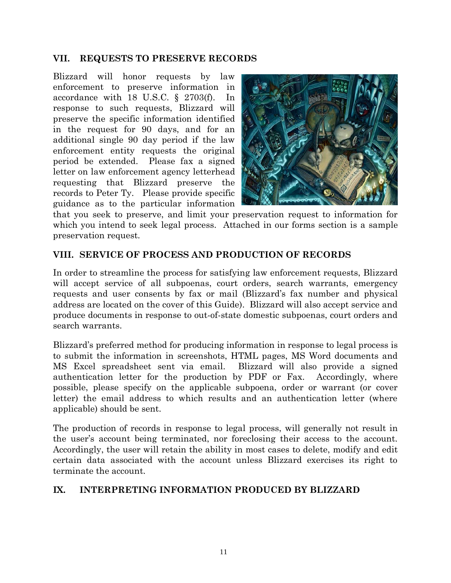#### <span id="page-10-1"></span><span id="page-10-0"></span>**VII. REQUESTS TO PRESERVE RECORDS**

Blizzard will honor requests by law enforcement to preserve information in accordance with 18 U.S.C. § 2703(f). In response to such requests, Blizzard will preserve the specific information identified in the request for 90 days, and for an additional single 90 day period if the law enforcement entity requests the original period be extended. Please fax a signed letter on law enforcement agency letterhead requesting that Blizzard preserve the records to Peter Ty. Please provide specific guidance as to the particular information



that you seek to preserve, and limit your preservation request to information for which you intend to seek legal process. Attached in our forms section is a sample preservation request.

#### **VIII. SERVICE OF PROCESS AND PRODUCTION OF RECORDS**

In order to streamline the process for satisfying law enforcement requests, Blizzard will accept service of all subpoenas, court orders, search warrants, emergency requests and user consents by fax or mail (Blizzard's fax number and physical address are located on the cover of this Guide). Blizzard will also accept service and produce documents in response to out-of-state domestic subpoenas, court orders and search warrants.

Blizzard's preferred method for producing information in response to legal process is to submit the information in screenshots, HTML pages, MS Word documents and MS Excel spreadsheet sent via email. Blizzard will also provide a signed authentication letter for the production by PDF or Fax. Accordingly, where possible, please specify on the applicable subpoena, order or warrant (or cover letter) the email address to which results and an authentication letter (where applicable) should be sent.

The production of records in response to legal process, will generally not result in the user's account being terminated, nor foreclosing their access to the account. Accordingly, the user will retain the ability in most cases to delete, modify and edit certain data associated with the account unless Blizzard exercises its right to terminate the account.

#### **IX. INTERPRETING INFORMATION PRODUCED BY BLIZZARD**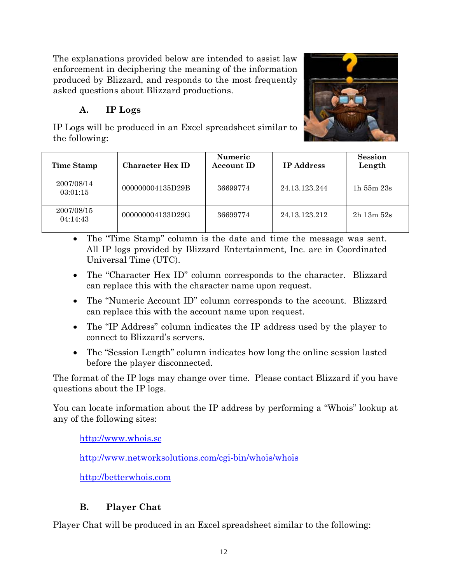<span id="page-11-0"></span>The explanations provided below are intended to assist law enforcement in deciphering the meaning of the information produced by Blizzard, and responds to the most frequently asked questions about Blizzard productions.

# **A. IP Logs**

IP Logs will be produced in an Excel spreadsheet similar to the following:



| <b>Time Stamp</b>      | <b>Character Hex ID</b> | <b>Numeric</b><br><b>Account ID</b> | <b>IP</b> Address | <b>Session</b><br>Length |
|------------------------|-------------------------|-------------------------------------|-------------------|--------------------------|
| 2007/08/14<br>03:01:15 | 000000004135D29B        | 36699774                            | 24.13.123.244     | $1h$ 55 $m$ $23s$        |
| 2007/08/15<br>04:14:43 | 000000004133D29G        | 36699774                            | 24.13.123.212     | $2h$ 13m $52s$           |

- The "Time Stamp" column is the date and time the message was sent. All IP logs provided by Blizzard Entertainment, Inc. are in Coordinated Universal Time (UTC).
- The "Character Hex ID" column corresponds to the character. Blizzard can replace this with the character name upon request.
- The "Numeric Account ID" column corresponds to the account. Blizzard can replace this with the account name upon request.
- The "IP Address" column indicates the IP address used by the player to connect to Blizzard's servers.
- The "Session Length" column indicates how long the online session lasted before the player disconnected.

The format of the IP logs may change over time. Please contact Blizzard if you have questions about the IP logs.

You can locate information about the IP address by performing a "Whois" lookup at any of the following sites:

[http://www.whois.sc](http://www.whois.sc/)

<http://www.networksolutions.com/cgi-bin/whois/whois>

[http://betterwhois.com](http://betterwhois.com/)

# **B. Player Chat**

Player Chat will be produced in an Excel spreadsheet similar to the following: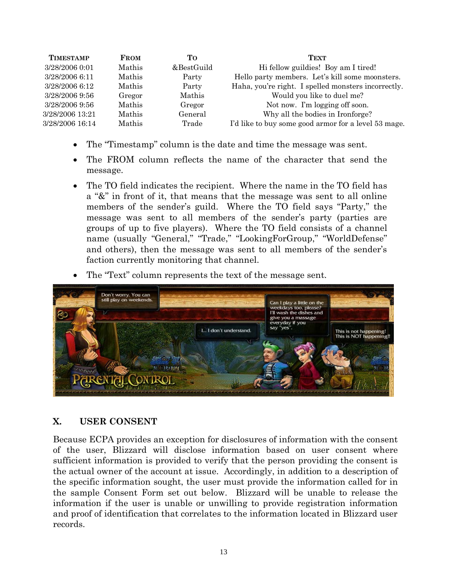<span id="page-12-0"></span>

| <b>TIMESTAMP</b> | <b>FROM</b> | Tо         | <b>TEXT</b>                                          |
|------------------|-------------|------------|------------------------------------------------------|
| 3/28/2006 0:01   | Mathis      | &BestGuild | Hi fellow guildies! Boy am I tired!                  |
| 3/28/2006 6:11   | Mathis      | Party      | Hello party members. Let's kill some moonsters.      |
| 3/28/2006 6:12   | Mathis      | Party      | Haha, you're right. I spelled monsters incorrectly.  |
| 3/28/2006 9:56   | Gregor      | Mathis     | Would you like to duel me?                           |
| 3/28/2006 9:56   | Mathis      | Gregor     | Not now. I'm logging off soon.                       |
| 3/28/2006 13:21  | Mathis      | General    | Why all the bodies in Ironforge?                     |
| 3/28/2006 16:14  | Mathis      | Trade      | I'd like to buy some good armor for a level 53 mage. |

- The "Timestamp" column is the date and time the message was sent.
- The FROM column reflects the name of the character that send the message.
- The TO field indicates the recipient. Where the name in the TO field has a "&" in front of it, that means that the message was sent to all online members of the sender's guild. Where the TO field says "Party," the message was sent to all members of the sender's party (parties are groups of up to five players). Where the TO field consists of a channel name (usually "General," "Trade," "LookingForGroup," "WorldDefense" and others), then the message was sent to all members of the sender's faction currently monitoring that channel.
- The "Text" column represents the text of the message sent.



### **X. USER CONSENT**

Because ECPA provides an exception for disclosures of information with the consent of the user, Blizzard will disclose information based on user consent where sufficient information is provided to verify that the person providing the consent is the actual owner of the account at issue. Accordingly, in addition to a description of the specific information sought, the user must provide the information called for in the sample Consent Form set out below. Blizzard will be unable to release the information if the user is unable or unwilling to provide registration information and proof of identification that correlates to the information located in Blizzard user records.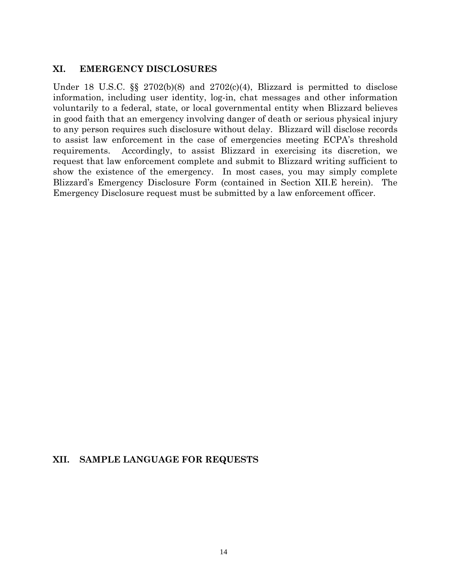#### <span id="page-13-0"></span>**XI. EMERGENCY DISCLOSURES**

Under 18 U.S.C.  $\S$  2702(b)(8) and 2702(c)(4), Blizzard is permitted to disclose information, including user identity, log-in, chat messages and other information voluntarily to a federal, state, or local governmental entity when Blizzard believes in good faith that an emergency involving danger of death or serious physical injury to any person requires such disclosure without delay. Blizzard will disclose records to assist law enforcement in the case of emergencies meeting ECPA's threshold requirements. Accordingly, to assist Blizzard in exercising its discretion, we request that law enforcement complete and submit to Blizzard writing sufficient to show the existence of the emergency. In most cases, you may simply complete Blizzard's Emergency Disclosure Form (contained in Section [XII.E](#page-15-1) herein). The Emergency Disclosure request must be submitted by a law enforcement officer.

#### **XII. SAMPLE LANGUAGE FOR REQUESTS**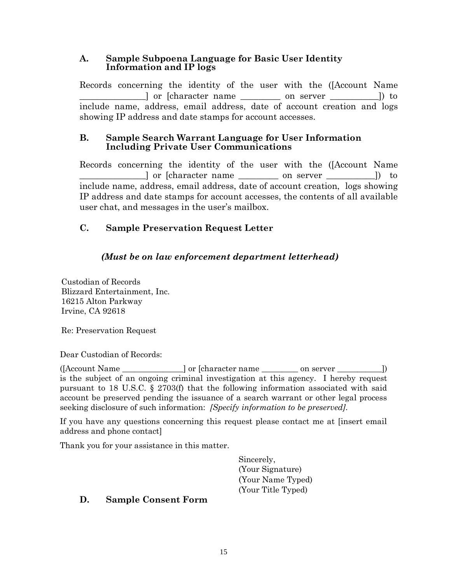#### <span id="page-14-0"></span>**A. Sample Subpoena Language for Basic User Identity Information and IP logs**

Records concerning the identity of the user with the ([Account Name  $\Box$  or [character name  $\Box$  on server  $\Box$ ]) to include name, address, email address, date of account creation and logs showing IP address and date stamps for account accesses.

#### **B. Sample Search Warrant Language for User Information Including Private User Communications**

Records concerning the identity of the user with the ([Account Name \_\_\_\_\_\_\_\_\_\_\_\_\_\_\_] or [character name \_\_\_\_\_\_\_\_\_ on server \_\_\_\_\_\_\_\_\_\_\_]) to include name, address, email address, date of account creation, logs showing IP address and date stamps for account accesses, the contents of all available user chat, and messages in the user's mailbox.

# **C. Sample Preservation Request Letter**

# *(Must be on law enforcement department letterhead)*

Custodian of Records Blizzard Entertainment, Inc. 16215 Alton Parkway Irvine, CA 92618

Re: Preservation Request

Dear Custodian of Records:

([Account Name \_\_\_\_\_\_\_\_\_\_\_\_\_\_\_] or [character name \_\_\_\_\_\_\_\_\_ on server \_\_\_\_\_\_\_\_\_\_\_]) is the subject of an ongoing criminal investigation at this agency. I hereby request pursuant to 18 U.S.C.  $\S$  2703(f) that the following information associated with said account be preserved pending the issuance of a search warrant or other legal process seeking disclosure of such information: *[Specify information to be preserved]*.

If you have any questions concerning this request please contact me at [insert email address and phone contact]

Thank you for your assistance in this matter.

Sincerely, (Your Signature) (Your Name Typed) (Your Title Typed)

# **D. Sample Consent Form**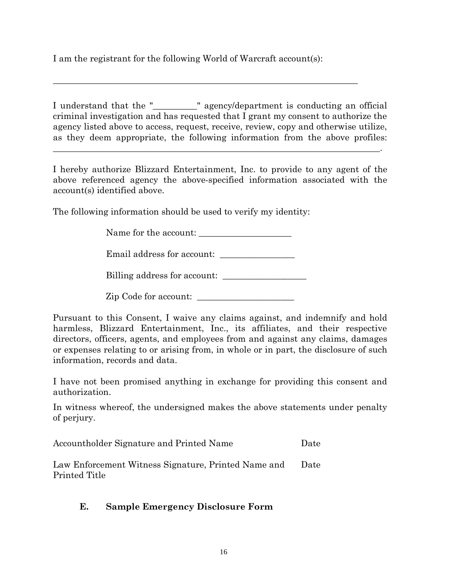<span id="page-15-0"></span>I am the registrant for the following World of Warcraft account(s):

\_\_\_\_\_\_\_\_\_\_\_\_\_\_\_\_\_\_\_\_\_\_\_\_\_\_\_\_\_\_\_\_\_\_\_\_\_\_\_\_\_\_\_\_\_\_\_\_\_\_\_\_\_\_\_\_\_\_\_\_\_\_\_\_\_\_\_\_\_

I understand that the "\_\_\_\_\_\_\_\_\_\_" agency/department is conducting an official criminal investigation and has requested that I grant my consent to authorize the agency listed above to access, request, receive, review, copy and otherwise utilize, as they deem appropriate, the following information from the above profiles:

\_\_\_\_\_\_\_\_\_\_\_\_\_\_\_\_\_\_\_\_\_\_\_\_\_\_\_\_\_\_\_\_\_\_\_\_\_\_\_\_\_\_\_\_\_\_\_\_\_\_\_\_\_\_\_\_\_\_\_\_\_\_\_\_\_\_\_\_\_\_\_\_\_\_.

I hereby authorize Blizzard Entertainment, Inc. to provide to any agent of the above referenced agency the above-specified information associated with the account(s) identified above.

The following information should be used to verify my identity:

Name for the account:

Email address for account: \_\_\_\_\_\_\_\_\_\_\_\_\_\_\_\_\_

Billing address for account:

Zip Code for account:

Pursuant to this Consent, I waive any claims against, and indemnify and hold harmless, Blizzard Entertainment, Inc., its affiliates, and their respective directors, officers, agents, and employees from and against any claims, damages or expenses relating to or arising from, in whole or in part, the disclosure of such information, records and data.

I have not been promised anything in exchange for providing this consent and authorization.

In witness whereof, the undersigned makes the above statements under penalty of perjury.

Accountholder Signature and Printed Name Date

<span id="page-15-1"></span>Law Enforcement Witness Signature, Printed Name and Printed Title Date

# **E. Sample Emergency Disclosure Form**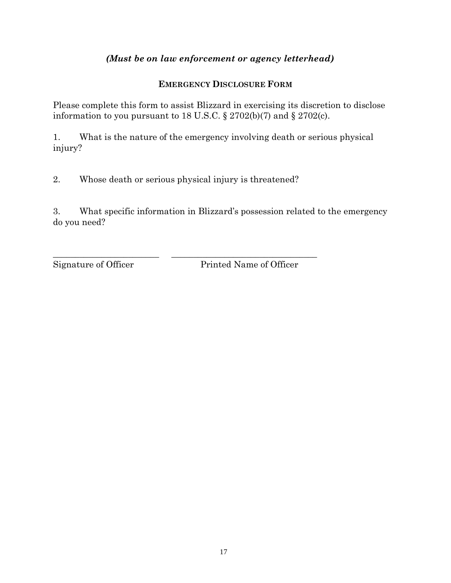## *(Must be on law enforcement or agency letterhead)*

### **EMERGENCY DISCLOSURE FORM**

Please complete this form to assist Blizzard in exercising its discretion to disclose information to you pursuant to 18 U.S.C.  $\S 2702(b)(7)$  and  $\S 2702(c)$ .

1. What is the nature of the emergency involving death or serious physical injury?

2. Whose death or serious physical injury is threatened?

\_\_\_\_\_\_\_\_\_\_\_\_\_\_\_\_\_\_\_\_\_\_\_\_ \_\_\_\_\_\_\_\_\_\_\_\_\_\_\_\_\_\_\_\_\_\_\_\_\_\_\_\_\_\_\_\_\_

3. What specific information in Blizzard's possession related to the emergency do you need?

Signature of Officer Printed Name of Officer